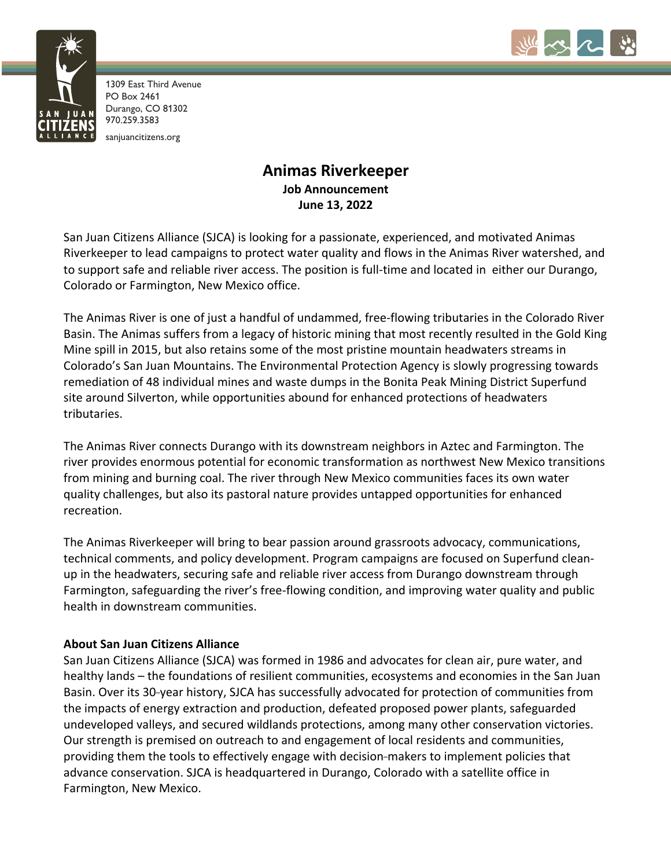



1309 East Third Avenue PO Box 2461 Durango, CO 81302 970.259.3583 sanjuancitizens.org

# **Animas Riverkeeper Job Announcement June 13, 2022**

San Juan Citizens Alliance (SJCA) is looking for a passionate, experienced, and motivated Animas Riverkeeper to lead campaigns to protect water quality and flows in the Animas River watershed, and to support safe and reliable river access. The position is full-time and located in either our Durango, Colorado or Farmington, New Mexico office.

The Animas River is one of just a handful of undammed, free-flowing tributaries in the Colorado River Basin. The Animas suffers from a legacy of historic mining that most recently resulted in the Gold King Mine spill in 2015, but also retains some of the most pristine mountain headwaters streams in Colorado's San Juan Mountains. The Environmental Protection Agency is slowly progressing towards remediation of 48 individual mines and waste dumps in the Bonita Peak Mining District Superfund site around Silverton, while opportunities abound for enhanced protections of headwaters tributaries.

The Animas River connects Durango with its downstream neighbors in Aztec and Farmington. The river provides enormous potential for economic transformation as northwest New Mexico transitions from mining and burning coal. The river through New Mexico communities faces its own water quality challenges, but also its pastoral nature provides untapped opportunities for enhanced recreation.

The Animas Riverkeeper will bring to bear passion around grassroots advocacy, communications, technical comments, and policy development. Program campaigns are focused on Superfund cleanup in the headwaters, securing safe and reliable river access from Durango downstream through Farmington, safeguarding the river's free-flowing condition, and improving water quality and public health in downstream communities.

## **About San Juan Citizens Alliance**

San Juan Citizens Alliance (SJCA) was formed in 1986 and advocates for clean air, pure water, and healthy lands – the foundations of resilient communities, ecosystems and economies in the San Juan Basin. Over its 30-year history, SJCA has successfully advocated for protection of communities from the impacts of energy extraction and production, defeated proposed power plants, safeguarded undeveloped valleys, and secured wildlands protections, among many other conservation victories. Our strength is premised on outreach to and engagement of local residents and communities, providing them the tools to effectively engage with decision-makers to implement policies that advance conservation. SJCA is headquartered in Durango, Colorado with a satellite office in Farmington, New Mexico.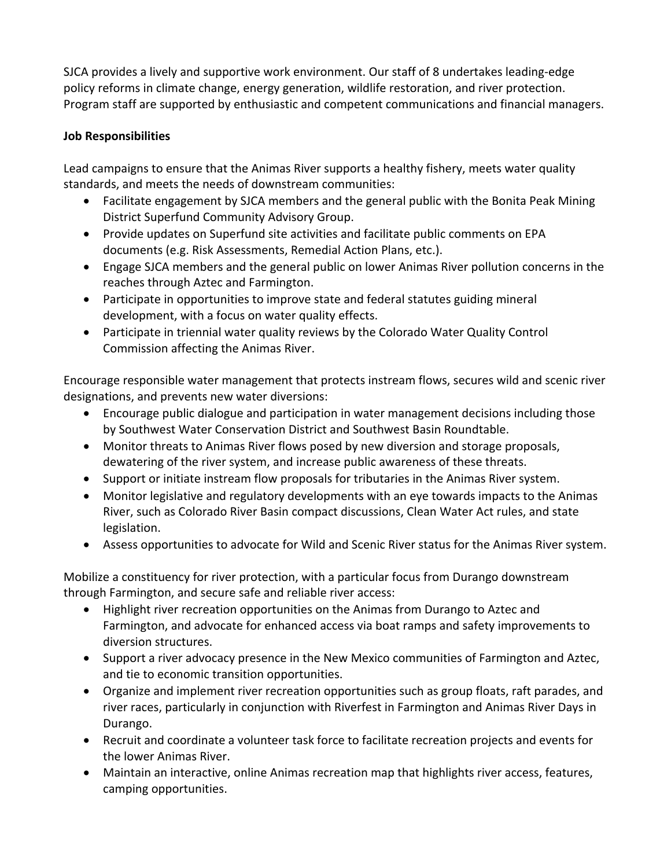SJCA provides a lively and supportive work environment. Our staff of 8 undertakes leading-edge policy reforms in climate change, energy generation, wildlife restoration, and river protection. Program staff are supported by enthusiastic and competent communications and financial managers.

## **Job Responsibilities**

Lead campaigns to ensure that the Animas River supports a healthy fishery, meets water quality standards, and meets the needs of downstream communities:

- Facilitate engagement by SJCA members and the general public with the Bonita Peak Mining District Superfund Community Advisory Group.
- Provide updates on Superfund site activities and facilitate public comments on EPA documents (e.g. Risk Assessments, Remedial Action Plans, etc.).
- Engage SJCA members and the general public on lower Animas River pollution concerns in the reaches through Aztec and Farmington.
- Participate in opportunities to improve state and federal statutes guiding mineral development, with a focus on water quality effects.
- Participate in triennial water quality reviews by the Colorado Water Quality Control Commission affecting the Animas River.

Encourage responsible water management that protects instream flows, secures wild and scenic river designations, and prevents new water diversions:

- Encourage public dialogue and participation in water management decisions including those by Southwest Water Conservation District and Southwest Basin Roundtable.
- Monitor threats to Animas River flows posed by new diversion and storage proposals, dewatering of the river system, and increase public awareness of these threats.
- Support or initiate instream flow proposals for tributaries in the Animas River system.
- Monitor legislative and regulatory developments with an eye towards impacts to the Animas River, such as Colorado River Basin compact discussions, Clean Water Act rules, and state legislation.
- Assess opportunities to advocate for Wild and Scenic River status for the Animas River system.

Mobilize a constituency for river protection, with a particular focus from Durango downstream through Farmington, and secure safe and reliable river access:

- Highlight river recreation opportunities on the Animas from Durango to Aztec and Farmington, and advocate for enhanced access via boat ramps and safety improvements to diversion structures.
- Support a river advocacy presence in the New Mexico communities of Farmington and Aztec, and tie to economic transition opportunities.
- Organize and implement river recreation opportunities such as group floats, raft parades, and river races, particularly in conjunction with Riverfest in Farmington and Animas River Days in Durango.
- Recruit and coordinate a volunteer task force to facilitate recreation projects and events for the lower Animas River.
- Maintain an interactive, online Animas recreation map that highlights river access, features, camping opportunities.